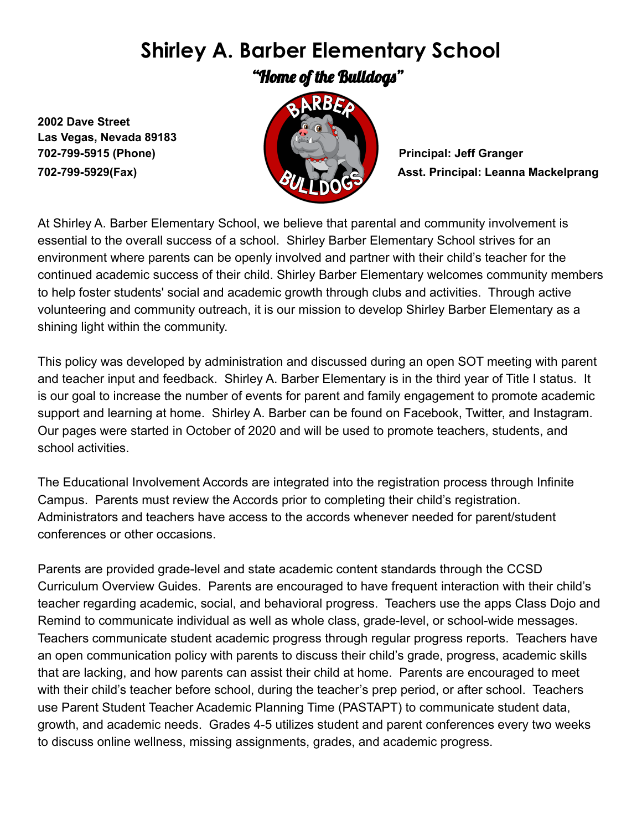## **Shirley A. Barber Elementary School**

"Home of the Bulldogs"

**2002 Dave Street Las Vegas, Nevada 89183 702-799-5915 (Phone) Principal: Jeff Granger**



**702-799-5929(Fax) Asst. Principal: Leanna Mackelprang**

At Shirley A. Barber Elementary School, we believe that parental and community involvement is essential to the overall success of a school. Shirley Barber Elementary School strives for an environment where parents can be openly involved and partner with their child's teacher for the continued academic success of their child. Shirley Barber Elementary welcomes community members to help foster students' social and academic growth through clubs and activities. Through active volunteering and community outreach, it is our mission to develop Shirley Barber Elementary as a shining light within the community.

This policy was developed by administration and discussed during an open SOT meeting with parent and teacher input and feedback. Shirley A. Barber Elementary is in the third year of Title I status. It is our goal to increase the number of events for parent and family engagement to promote academic support and learning at home. Shirley A. Barber can be found on Facebook, Twitter, and Instagram. Our pages were started in October of 2020 and will be used to promote teachers, students, and school activities.

The Educational Involvement Accords are integrated into the registration process through Infinite Campus. Parents must review the Accords prior to completing their child's registration. Administrators and teachers have access to the accords whenever needed for parent/student conferences or other occasions.

Parents are provided grade-level and state academic content standards through the CCSD Curriculum Overview Guides. Parents are encouraged to have frequent interaction with their child's teacher regarding academic, social, and behavioral progress. Teachers use the apps Class Dojo and Remind to communicate individual as well as whole class, grade-level, or school-wide messages. Teachers communicate student academic progress through regular progress reports. Teachers have an open communication policy with parents to discuss their child's grade, progress, academic skills that are lacking, and how parents can assist their child at home. Parents are encouraged to meet with their child's teacher before school, during the teacher's prep period, or after school. Teachers use Parent Student Teacher Academic Planning Time (PASTAPT) to communicate student data, growth, and academic needs. Grades 4-5 utilizes student and parent conferences every two weeks to discuss online wellness, missing assignments, grades, and academic progress.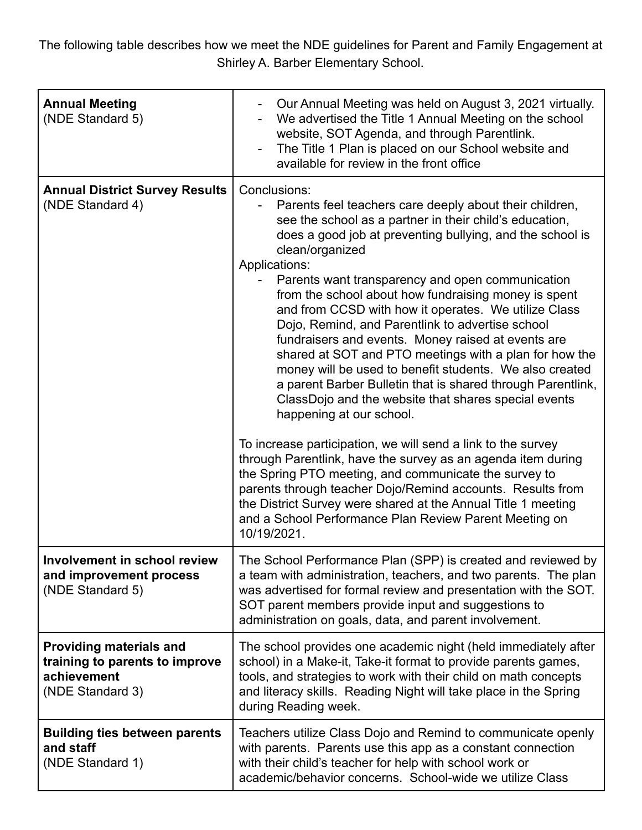The following table describes how we meet the NDE guidelines for Parent and Family Engagement at Shirley A. Barber Elementary School.

| <b>Annual Meeting</b><br>(NDE Standard 5)                                                           | Our Annual Meeting was held on August 3, 2021 virtually.<br>We advertised the Title 1 Annual Meeting on the school<br>website, SOT Agenda, and through Parentlink.<br>The Title 1 Plan is placed on our School website and<br>available for review in the front office                                                                                                                                                                                                                                                                                                                                                                                                                                                                                                                                                                                                                                                                                                                                                                                                                                                                                                                     |
|-----------------------------------------------------------------------------------------------------|--------------------------------------------------------------------------------------------------------------------------------------------------------------------------------------------------------------------------------------------------------------------------------------------------------------------------------------------------------------------------------------------------------------------------------------------------------------------------------------------------------------------------------------------------------------------------------------------------------------------------------------------------------------------------------------------------------------------------------------------------------------------------------------------------------------------------------------------------------------------------------------------------------------------------------------------------------------------------------------------------------------------------------------------------------------------------------------------------------------------------------------------------------------------------------------------|
| <b>Annual District Survey Results</b><br>(NDE Standard 4)                                           | Conclusions:<br>Parents feel teachers care deeply about their children,<br>see the school as a partner in their child's education,<br>does a good job at preventing bullying, and the school is<br>clean/organized<br>Applications:<br>Parents want transparency and open communication<br>from the school about how fundraising money is spent<br>and from CCSD with how it operates. We utilize Class<br>Dojo, Remind, and Parentlink to advertise school<br>fundraisers and events. Money raised at events are<br>shared at SOT and PTO meetings with a plan for how the<br>money will be used to benefit students. We also created<br>a parent Barber Bulletin that is shared through Parentlink,<br>ClassDojo and the website that shares special events<br>happening at our school.<br>To increase participation, we will send a link to the survey<br>through Parentlink, have the survey as an agenda item during<br>the Spring PTO meeting, and communicate the survey to<br>parents through teacher Dojo/Remind accounts. Results from<br>the District Survey were shared at the Annual Title 1 meeting<br>and a School Performance Plan Review Parent Meeting on<br>10/19/2021. |
| Involvement in school review<br>and improvement process<br>(NDE Standard 5)                         | The School Performance Plan (SPP) is created and reviewed by<br>a team with administration, teachers, and two parents. The plan<br>was advertised for formal review and presentation with the SOT.<br>SOT parent members provide input and suggestions to<br>administration on goals, data, and parent involvement.                                                                                                                                                                                                                                                                                                                                                                                                                                                                                                                                                                                                                                                                                                                                                                                                                                                                        |
| <b>Providing materials and</b><br>training to parents to improve<br>achievement<br>(NDE Standard 3) | The school provides one academic night (held immediately after<br>school) in a Make-it, Take-it format to provide parents games,<br>tools, and strategies to work with their child on math concepts<br>and literacy skills. Reading Night will take place in the Spring<br>during Reading week.                                                                                                                                                                                                                                                                                                                                                                                                                                                                                                                                                                                                                                                                                                                                                                                                                                                                                            |
| <b>Building ties between parents</b><br>and staff<br>(NDE Standard 1)                               | Teachers utilize Class Dojo and Remind to communicate openly<br>with parents. Parents use this app as a constant connection<br>with their child's teacher for help with school work or<br>academic/behavior concerns. School-wide we utilize Class                                                                                                                                                                                                                                                                                                                                                                                                                                                                                                                                                                                                                                                                                                                                                                                                                                                                                                                                         |